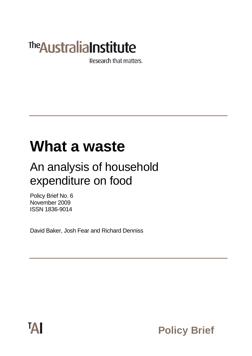# **The Australia Institute**

Research that matters.

## **What a waste**

## An analysis of household expenditure on food

Policy Brief No. 6 November 2009 ISSN 1836-9014

David Baker, Josh Fear and Richard Denniss



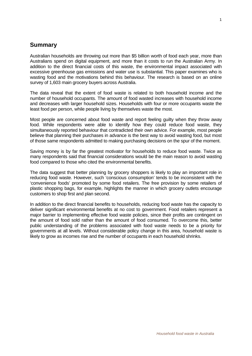### **Summary**

Australian households are throwing out more than \$5 billion worth of food each year, more than Australians spend on digital equipment, and more than it costs to run the Australian Army. In addition to the direct financial costs of this waste, the environmental impact associated with excessive greenhouse gas emissions and water use is substantial. This paper examines who is wasting food and the motivations behind this behaviour. The research is based on an online survey of 1,603 main grocery buyers across Australia.

The data reveal that the extent of food waste is related to both household income and the number of household occupants. The amount of food wasted increases with household income and decreases with larger household sizes. Households with four or more occupants waste the least food per person, while people living by themselves waste the most.

Most people are concerned about food waste and report feeling guilty when they throw away food. While respondents were able to identify how they could reduce food waste, they simultaneously reported behaviour that contradicted their own advice. For example, most people believe that planning their purchases in advance is the best way to avoid wasting food, but most of those same respondents admitted to making purchasing decisions on the spur of the moment.

Saving money is by far the greatest motivator for households to reduce food waste. Twice as many respondents said that financial considerations would be the main reason to avoid wasting food compared to those who cited the environmental benefits.

The data suggest that better planning by grocery shoppers is likely to play an important role in reducing food waste. However, such 'conscious consumption' tends to be inconsistent with the 'convenience foods' promoted by some food retailers. The free provision by some retailers of plastic shopping bags, for example, highlights the manner in which grocery outlets encourage customers to shop first and plan second.

In addition to the direct financial benefits to households, reducing food waste has the capacity to deliver significant environmental benefits at no cost to government. Food retailers represent a major barrier to implementing effective food waste policies, since their profits are contingent on the amount of food sold rather than the amount of food consumed. To overcome this, better public understanding of the problems associated with food waste needs to be a priority for governments at all levels. Without considerable policy change in this area, household waste is likely to grow as incomes rise and the number of occupants in each household shrinks.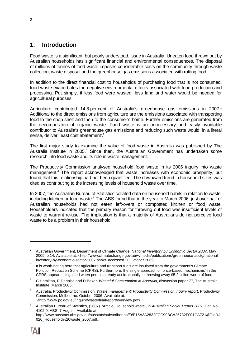## **1. Introduction**

Food waste is a significant, but poorly understood, issue in Australia. Uneaten food thrown out by Australian households has significant financial and environmental consequences. The disposal of millions of tonnes of food waste imposes considerable costs on the community through waste collection, waste disposal and the greenhouse gas emissions associated with rotting food.

In addition to the direct financial cost to households of purchasing food that is not consumed, food waste exacerbates the negative environmental effects associated with food production and processing. Put simply, if less food were wasted, less land and water would be needed for agricultural purposes.

Agriculture contributed 14.8 per cent of Australia's greenhouse gas emissions in 2007.<sup>1</sup> Additional to the direct emissions from agriculture are the emissions associated with transporting food to the shop shelf and then to the consumer's home. Further emissions are generated from the decomposition of organic waste. Food waste is an unnecessary and easily avoidable contributor to Australia's greenhouse gas emissions and reducing such waste would, in a literal sense, deliver 'least cost abatement'.<sup>2</sup>

The first major study to examine the value of food waste in Australia was published by The Australia Institute in 2005.<sup>3</sup> Since then, the Australian Government has undertaken some research into food waste and its role in waste management.

The Productivity Commission analysed household food waste in its 2006 inquiry into waste management.<sup>4</sup> The report acknowledged that waste increases with economic prosperity, but found that this relationship had not been quantified. The downward trend in household sizes was cited as contributing to the increasing levels of household waste over time.

In 2007, the Australian Bureau of Statistics collated data on household habits in relation to waste, including kitchen or food waste.<sup>5</sup> The ABS found that in the year to March 2006, just over half of Australian households had not eaten left-overs or composted kitchen or food waste. Householders indicated that the primary reason for throwing out food was insufficient levels of waste to warrant re-use. The implication is that a majority of Australians do not perceive food waste to be a problem in their household.

-

<sup>1</sup> Australian Government, Department of Climate Change, *National Inventory by Economic Sector 2007*, May 2009, p.14. Available at: <http://www.climatechange.gov.au/~/media/publications/greenhouse-acctg/nationalinventory-by-economic-sector-2007.ashx> accessed 26 October 2009.

<sup>2</sup> It is worth noting here that agriculture and transport fuels are insulated from the government's Climate Pollution Reduction Scheme (CPRS). Furthermore, the single approach of 'price-based mechanisms' in the CPRS appears misguided when people already act irrationally in throwing away \$5.2 billion worth of food.

<sup>3</sup> C Hamilton, R Denniss and D Baker, *Wasteful Consumption in Australia*, discussion paper 77, The Australia Institute, March 2005.

<sup>4</sup> Australia. Productivity Commission, *Waste management: Productivity Commission inquiry report*, Productivity Commission, Melbourne, October 2006. Available at: <http://www.pc.gov.au/inquiry/waste/finalreport/overview.pdf>

<sup>5</sup> Australian Bureau of Statistics, (2007). 'Article: Household waste', in *Australian Social Trends 2007*, Cat. No. 4102.0, ABS, 7 August. Available at: http://www.ausstats.abs.gov.au/ausstats/subscriber.nsf/0/E15A3A2832FCC99BCA25732F001CA721/\$File/41 020\_Household%20waste\_2007.pdf..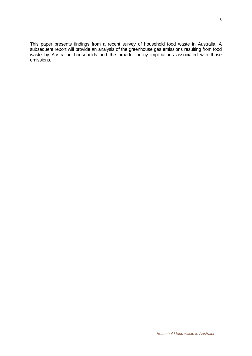This paper presents findings from a recent survey of household food waste in Australia. A subsequent report will provide an analysis of the greenhouse gas emissions resulting from food waste by Australian households and the broader policy implications associated with those emissions.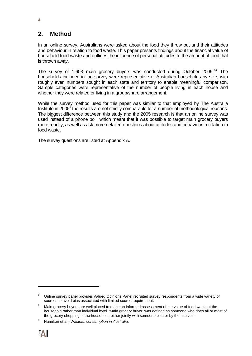## **2. Method**

In an online survey, Australians were asked about the food they throw out and their attitudes and behaviour in relation to food waste. This paper presents findings about the financial value of household food waste and outlines the influence of personal attitudes to the amount of food that is thrown away.

The survey of 1,603 main grocery buyers was conducted during October 2009.6**,7** The households included in the survey were representative of Australian households by size, with roughly even numbers sought in each state and territory to enable meaningful comparison. Sample categories were representative of the number of people living in each house and whether they were related or living in a group/share arrangement.

While the survey method used for this paper was similar to that employed by The Australia Institute in 2005<sup>8</sup> the results are not strictly comparable for a number of methodological reasons. The biggest difference between this study and the 2005 research is that an online survey was used instead of a phone poll, which meant that it was possible to target main grocery buyers more readily, as well as ask more detailed questions about attitudes and behaviour in relation to food waste.

The survey questions are listed at Appendix A.

l

<sup>6</sup> Online survey panel provider Valued Opinions Panel recruited survey respondents from a wide variety of sources to avoid bias associated with limited source requirement.

<sup>7</sup> Main grocery buyers are well placed to make an informed assessment of the value of food waste at the household rather than individual level. 'Main grocery buyer' was defined as someone who does all or most of the grocery shopping in the household, either jointly with someone else or by themselves.

<sup>8</sup> Hamilton et al., *Wasteful consumption in Australia*.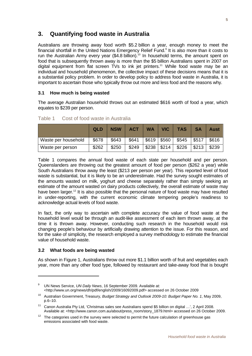## **3. Quantifying food waste in Australia**

Australians are throwing away food worth \$5.2 billion a year, enough money to meet the financial shortfall in the United Nations Emergency Relief Fund.<sup>9</sup> It is also more than it costs to run the Australian Army every year (\$4.8 billion).<sup>10</sup> In household terms, the amount spent on food that is subsequently thrown away is more than the \$5 billion Australians spent in 2007 on digital equipment from flat screen TVs to ink jet printers.<sup>11</sup> While food waste may be an individual and household phenomenon, the collective impact of these decisions means that it is a substantial policy problem. In order to develop policy to address food waste in Australia, it is important to ascertain those who typically throw out more and less food and the reasons why.

#### **3.1 How much is being wasted**

The average Australian household throws out an estimated \$616 worth of food a year, which equates to \$239 per person.

|                     | QLD   | <b>NSW</b> | <b>ACT</b> | <b>WA</b> | <b>VIC</b> | <b>TAS</b> | <b>SA</b> | Aust  |
|---------------------|-------|------------|------------|-----------|------------|------------|-----------|-------|
| Waste per household | \$678 | \$643      | \$641      | \$619     | \$560      | \$545      | \$517     | \$616 |
| Waste per person    | \$262 | \$250      | \$249      | \$238     | \$214      | \$226      | \$213     | \$239 |

Table 1 Cost of food waste in Australia

Table 1 compares the annual food waste of each state per household and per person. Queenslanders are throwing out the greatest amount of food per person (\$262 a year) while South Australians throw away the least (\$213 per person per year). This reported level of food waste is substantial, but it is likely to be an underestimate. Had the survey sought estimates of the amounts wasted on milk, yoghurt and cheese separately rather than simply seeking an estimate of the amount wasted on dairy products collectively, the overall estimate of waste may have been larger.<sup>12</sup> It is also possible that the personal nature of food waste may have resulted in under-reporting, with the current economic climate tempering people's readiness to acknowledge actual levels of food waste.

In fact, the only way to ascertain with complete accuracy the value of food waste at the household level would be through an audit-like assessment of each item thrown away, at the time it is thrown away. However, conducting such research in the household would risk changing people's behaviour by artificially drawing attention to the issue. For this reason, and for the sake of simplicity, the research employed a survey methodology to estimate the financial value of household waste.

#### **3.2 What foods are being wasted**

 $\overline{a}$ 

As shown in Figure 1, Australians throw out more \$1.1 billion worth of fruit and vegetables each year, more than any other food type, followed by restaurant and take-away food that is bought

<sup>9</sup> UN News Service, *UN Daily News*, 16 September 2009. Available at: <http://www.un.org/news/dh/pdf/english/2009/16092009.pdf> accessed on 26 October 2009

<sup>10</sup> Australian Government, Treasury, *Budget Strategy and Outlook 2009-10: Budget Paper No. 1*, May 2009, p.6–10.

<sup>11</sup> Canon Australia Pty Ltd, 'Christmas sales see Australians spend \$5 billion on digital …', 2 April 2008. Available at: <http://www.canon.com.au/about/press\_room/story\_1879.html> accessed on 26 October 2009.

 $12$  The categories used in the survey were selected to permit the future calculation of greenhouse gas emissions associated with food waste.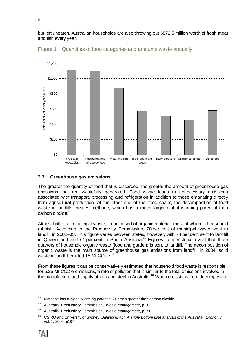but left uneaten. Australian households are also throwing out \$872.5 million worth of fresh meat and fish every year.





#### **3.3 Greenhouse gas emissions**

The greater the quantity of food that is discarded, the greater the amount of greenhouse gas emissions that are wastefully generated. Food waste leads to unnecessary emissions associated with transport, processing and refrigeration in addition to those emanating directly from agricultural production. At the other end of the 'food chain', the decomposition of food waste in landfills creates methane, which has a much larger global warming potential than carbon dioxide.<sup>13</sup>

Almost half of all municipal waste is comprised of organic material, most of which is household rubbish. According to the Productivity Commission, 70 per cent of municipal waste went to landfill in 2002–03. This figure varies between states, however, with 74 per cent sent to landfill in Queensland and 61 per cent in South Australia.<sup>14</sup> Figures from Victoria reveal that three quarters of household organic waste (food and garden) is sent to landfill. The decomposition of organic waste is the main source of greenhouse gas emissions from landfill; in 2004, solid waste in landfill emitted 15 Mt  $CO<sub>2</sub>$ -e.<sup>15</sup>

From these figures it can be conservatively estimated that household food waste is responsible for 5.25 Mt CO2-e emissions, a rate of pollution that is similar to the total emissions involved in the manufacture and supply of iron and steel in Australia.<sup>16</sup> When emissions from decomposing

l

<sup>&</sup>lt;sup>13</sup> Methane has a global warming potential 21 times greater than carbon dioxide.

<sup>14</sup> Australia. Productivity Commission, *Waste management*, p.30.

<sup>15</sup> Australia. Productivity Commission, *Waste management*, p. 71

<sup>16</sup> CSIRO and University of Sydney, *Balancing Act. A Triple Bottom Line analysis of the Australian Economy*, vol. 1, 2005, p107.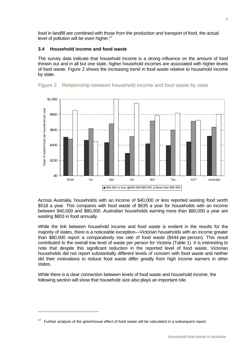food in landfill are combined with those from the production and transport of food, the actual level of pollution will be even higher.<sup>17</sup>

#### **3.4 Household income and food waste**

The survey data indicate that household income is a strong influence on the amount of food thrown out and in all but one state, higher household incomes are associated with higher levels of food waste. Figure 2 shows the increasing trend in food waste relative to household income by state.





Across Australia, households with an income of \$40,000 or less reported wasting food worth \$518 a year. This compares with food waste of \$635 a year for households with an income between \$40,000 and \$80,000. Australian households earning more than \$80,000 a year are wasting \$803 in food annually.

While the link between household income and food waste is evident in the results for the majority of states, there is a noticeable exception—Victorian households with an income greater than \$80,000 report a comparatively low rate of food waste (\$444 per person). This result contributed to the overall low level of waste per person for Victoria (Table 1). It is interesting to note that despite this significant reduction in the reported level of food waste, Victorian households did not report substantially different levels of concern with food waste and neither did their motivations to reduce food waste differ greatly from high income earners in other states.

While there is a clear connection between levels of food waste and household income, the following section will show that household size also plays an important role.

l

Further analysis of the greenhouse effect of food waste will be calculated in a subsequent report.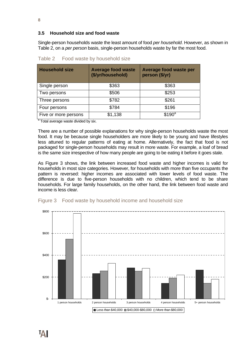#### **3.5 Household size and food waste**

Single-person households waste the least amount of food *per household*. However, as shown in Table 2, on a *per person* basis, single-person households waste by far the most food.

| <b>Household size</b> | <b>Average food waste</b><br>(\$/yr/household) | <b>Average food waste per</b><br>person (\$/yr) |
|-----------------------|------------------------------------------------|-------------------------------------------------|
| Single person         | \$363                                          | \$363                                           |
| Two persons           | \$506                                          | \$253                                           |
| Three persons         | \$782                                          | \$261                                           |
| Four persons          | \$784                                          | \$196                                           |
| Five or more persons  | \$1,138                                        | \$190 <sup>a</sup>                              |

Table 2 Food waste by household size

<sup>a</sup> Total average waste divided by six.

There are a number of possible explanations for why single-person households waste the most food. It may be because single householders are more likely to be young and have lifestyles less attuned to regular patterns of eating at home. Alternatively, the fact that food is not packaged for single-person households may result in more waste. For example, a loaf of bread is the same size irrespective of how many people are going to be eating it before it goes stale.

As Figure 3 shows, the link between increased food waste and higher incomes is valid for households in most size categories. However, for households with more than five occupants the pattern is reversed: higher incomes are associated with lower levels of food waste. The difference is due to five-person households with no children, which tend to be share households. For large family households, on the other hand, the link between food waste and income is less clear.



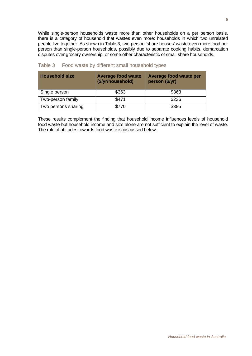While single-person households waste more than other households on a per person basis, there is a category of household that wastes even more: households in which two unrelated people live together. As shown in Table 3, two-person 'share houses' waste even more food per person than single-person households, possibly due to separate cooking habits, demarcation disputes over grocery ownership, or some other characteristic of small share households.

| <b>Household size</b> | <b>Average food waste</b><br>(\$/yr/household) | Average food waste per<br>person (\$/yr) |
|-----------------------|------------------------------------------------|------------------------------------------|
| Single person         | \$363                                          | \$363                                    |
| Two-person family     | \$471                                          | \$236                                    |
| Two persons sharing   | \$770                                          | \$385                                    |

#### Table 3 Food waste by different small household types

These results complement the finding that household income influences levels of household food waste but household income and size alone are not sufficient to explain the level of waste. The role of attitudes towards food waste is discussed below.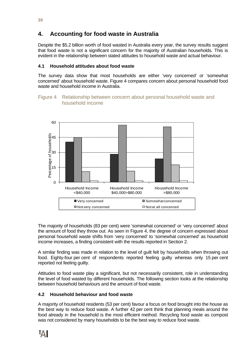## **4. Accounting for food waste in Australia**

Despite the \$5.2 billion worth of food wasted in Australia every year, the survey results suggest that food waste is not a significant concern for the majority of Australian households. This is evident in the relationship between stated attitudes to household waste and actual behaviour.

#### **4.1 Household attitudes about food waste**

The survey data show that most households are either 'very concerned' or 'somewhat concerned' about household waste. Figure 4 compares concern about personal household food waste and household income in Australia.

#### Figure 4 Relationship between concern about personal household waste and household income



The majority of households (83 per cent) were 'somewhat concerned' or 'very concerned' about the amount of food they throw out. As seen in Figure 4, the degree of concern expressed about personal household waste shifts from 'very concerned' to 'somewhat concerned' as household income increases, a finding consistent with the results reported in Section 2.

A similar finding was made in relation to the level of guilt felt by households when throwing out food. Eighty-four per cent of respondents reported feeling guilty whereas only 15 per cent reported not feeling guilty.

Attitudes to food waste play a significant, but not necessarily consistent, role in understanding the level of food wasted by different households. The following section looks at the relationship between household behaviours and the amount of food waste.

#### **4.2 Household behaviour and food waste**

A majority of household residents (53 per cent) favour a focus on food brought into the house as the best way to reduce food waste. A further 42 per cent think that planning meals around the food already in the household is the most efficient method. Recycling food waste as compost was not considered by many households to be the best way to reduce food waste.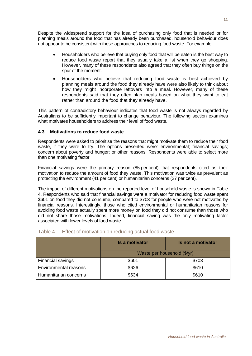Despite the widespread support for the idea of purchasing only food that is needed or for planning meals around the food that has already been purchased, household behaviour does not appear to be consistent with these approaches to reducing food waste. For example:

- Householders who believe that buying only food that will be eaten is the best way to reduce food waste report that they usually take a list when they go shopping. However, many of these respondents also agreed that they often buy things on the spur of the moment.
- Householders who believe that reducing food waste is best achieved by planning meals around the food they already have were also likely to think about how they might incorporate leftovers into a meal. However, many of these respondents said that they often plan meals based on what they want to eat rather than around the food that they already have.

This pattern of contradictory behaviour indicates that food waste is not always regarded by Australians to be sufficiently important to change behaviour. The following section examines what motivates householders to address their level of food waste.

#### **4.3 Motivations to reduce food waste**

Respondents were asked to prioritise the reasons that might motivate them to reduce their food waste, if they were to try. The options presented were: environmental; financial savings; concern about poverty and hunger; or other reasons. Respondents were able to select more than one motivating factor.

Financial savings were the primary reason (85 per cent) that respondents cited as their motivation to reduce the amount of food they waste. This motivation was twice as prevalent as protecting the environment (41 per cent) or humanitarian concerns (27 per cent).

The impact of different motivations on the reported level of household waste is shown in Table 4. Respondents who said that financial savings were a motivator for reducing food waste spent \$601 on food they did not consume, compared to \$703 for people who were not motivated by financial reasons. Interestingly, those who cited environmental or humanitarian reasons for avoiding food waste actually spent more money on food they did not consume than those who did not share those motivations. Indeed, financial saving was the only motivating factor associated with lower levels of food waste.

|                              | <b>Is a motivator</b>       | Is not a motivator |  |  |
|------------------------------|-----------------------------|--------------------|--|--|
|                              | Waste per household (\$/yr) |                    |  |  |
| Financial savings            | \$601                       | \$703              |  |  |
| <b>Environmental reasons</b> | \$626                       | \$610              |  |  |
| Humanitarian concerns        | \$634                       | \$610              |  |  |

#### Table 4 Effect of motivation on reducing actual food waste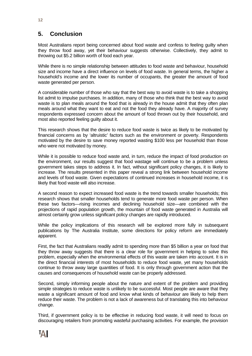## **5. Conclusion**

Most Australians report being concerned about food waste and confess to feeling guilty when they throw food away, yet their behaviour suggests otherwise. Collectively, they admit to throwing out \$5.2 billion worth of food each year.

While there is no simple relationship between attitudes to food waste and behaviour, household size and income have a direct influence on levels of food waste. In general terms, the higher a household's income and the lower its number of occupants, the greater the amount of food waste generated per person.

A considerable number of those who say that the best way to avoid waste is to take a shopping list admit to impulse purchases. In addition, many of those who think that the best way to avoid waste is to plan meals around the food that is already in the house admit that they often plan meals around what they want to eat and not the food they already have. A majority of survey respondents expressed concern about the amount of food thrown out by their household, and most also reported feeling guilty about it.

This research shows that the desire to reduce food waste is twice as likely to be motivated by financial concerns as by 'altruistic' factors such as the environment or poverty. Respondents motivated by the desire to save money reported wasting \$100 less per household than those who were not motivated by money.

While it is possible to reduce food waste and, in turn, reduce the impact of food production on the environment, our results suggest that food wastage will continue to be a problem unless government takes steps to address it. In fact, without significant policy changes, it is likely to increase. The results presented in this paper reveal a strong link between household income and levels of food waste. Given expectations of continued increases in household income, it is likely that food waste will also increase.

A second reason to expect increased food waste is the trend towards smaller households; this research shows that smaller households tend to generate more food waste per person. When these two factors—rising incomes and declining household size—are combined with the projections of rapid population growth, the mountain of food waste generated in Australia will almost certainly grow unless significant policy changes are rapidly introduced.

While the policy implications of this research will be explored more fully in subsequent publications by The Australia Institute, some directions for policy reform are immediately apparent.

First, the fact that Australians readily admit to spending more than \$5 billion a year on food that they throw away suggests that there is a clear role for government in helping to solve this problem, especially when the environmental effects of this waste are taken into account. It is in the direct financial interests of most households to reduce food waste, yet many households continue to throw away large quantities of food. It is only through government action that the causes and consequences of household waste can be properly addressed.

Second, simply informing people about the nature and extent of the problem and providing simple strategies to reduce waste is unlikely to be successful. Most people are aware that they waste a significant amount of food and know what kinds of behaviour are likely to help them reduce their waste. The problem is not a lack of awareness but of translating this into behaviour change.

Third, if government policy is to be effective in reducing food waste, it will need to focus on discouraging retailers from promoting wasteful purchasing activities. For example, the provision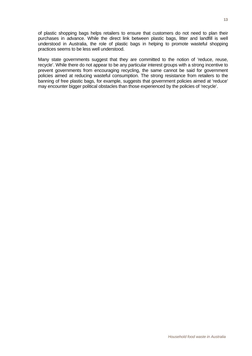of plastic shopping bags helps retailers to ensure that customers do not need to plan their purchases in advance. While the direct link between plastic bags, litter and landfill is well understood in Australia, the role of plastic bags in helping to promote wasteful shopping practices seems to be less well understood.

Many state governments suggest that they are committed to the notion of 'reduce, reuse, recycle'. While there do not appear to be any particular interest groups with a strong incentive to prevent governments from encouraging recycling, the same cannot be said for government policies aimed at reducing wasteful consumption. The strong resistance from retailers to the banning of free plastic bags, for example, suggests that government policies aimed at 'reduce' may encounter bigger political obstacles than those experienced by the policies of 'recycle'.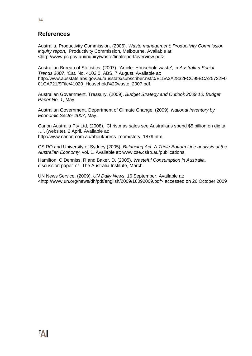## **References**

Australia, Productivity Commission, (2006). *Waste management: Productivity Commission inquiry report,* Productivity Commission, Melbourne. Available at: <http://www.pc.gov.au/inquiry/waste/finalreport/overview.pdf>

Australian Bureau of Statistics, (2007). 'Article: Household waste', in *Australian Social Trends 2007*, 'Cat. No. 4102.0, ABS, 7 August. Available at: http://www.ausstats.abs.gov.au/ausstats/subscriber.nsf/0/E15A3A2832FCC99BCA25732F0 01CA721/\$File/41020\_Household%20waste\_2007.pdf.

Australian Government, Treasury, (2009). *Budget Strategy and Outlook 2009 10: Budget Paper No. 1*, May.

Australian Government, Department of Climate Change, (2009). *National Inventory by Economic Sector 2007*, May.

Canon Australia Pty Ltd, (2008). 'Christmas sales see Australians spend \$5 billion on digital …', (website), 2 April. Available at: http://www.canon.com.au/about/press\_room/story\_1879.html.

CSIRO and University of Sydney (2005). *Balancing Act. A Triple Bottom Line analysis of the Australian Economy*, vol. 1. Available at: www.cse.csiro.au/publications,

Hamilton, C Denniss, R and Baker, D, (2005). *Wasteful Consumption in Australia*, discussion paper 77, The Australia Institute, March.

UN News Service, (2009). *UN Daily News*, 16 September. Available at: <http://www.un.org/news/dh/pdf/english/2009/16092009.pdf> accessed on 26 October 2009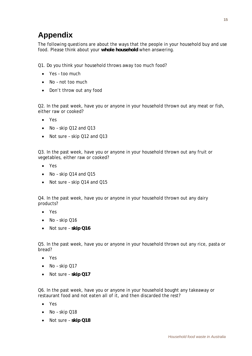## **Appendix**

The following questions are about the ways that the people in your household buy and use food. Please think about your **whole household** when answering.

Q1. Do you think your household throws away too much food?

- Yes too much
- No not too much
- Don't throw out any food

Q2. In the past week, have you or anyone in your household thrown out any meat or fish, either raw or cooked?

- Yes
- No skip Q12 and Q13
- Not sure skip Q12 and Q13

Q3. In the past week, have you or anyone in your household thrown out any fruit or vegetables, either raw or cooked?

- Yes
- No skip Q14 and Q15
- Not sure skip Q14 and Q15

Q4. In the past week, have you or anyone in your household thrown out any dairy products?

- Yes
- No skip Q16
- Not sure **skip Q16**

Q5. In the past week, have you or anyone in your household thrown out any rice, pasta or bread?

- Yes
- $\bullet$  No skip Q17
- Not sure **skip Q17**

Q6. In the past week, have you or anyone in your household bought any takeaway or restaurant food and not eaten all of it, and then discarded the rest?

- Yes
- No skip Q18
- Not sure **skip Q18**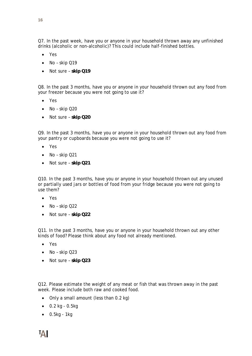Q7. In the past week, have you or anyone in your household thrown away any unfinished drinks (alcoholic or non-alcoholic)? This could include half-finished bottles.

- Yes
- $\bullet$  No skip Q19
- Not sure **skip Q19**

Q8. In the past 3 months, have you or anyone in your household thrown out any food from your freezer because you were not going to use it?

- Yes
- $\bullet$  No skip Q20
- Not sure **skip Q20**

Q9. In the past 3 months, have you or anyone in your household thrown out any food from your pantry or cupboards because you were not going to use it?

- $\bullet$  Yes
- $\bullet$  No skip Q21
- Not sure **skip Q21**

Q10. In the past 3 months, have you or anyone in your household thrown out any unused or partially used jars or bottles of food from your fridge because you were not going to use them?

- Yes
- $\bullet$  No skip Q22
- Not sure **skip Q22**

Q11. In the past 3 months, have you or anyone in your household thrown out any other kinds of food? Please think about any food not already mentioned.

- Yes
- $\bullet$  No skip Q23
- Not sure **skip Q23**

Q12. Please estimate the weight of any meat or fish that was thrown away in the past week. Please include both raw and cooked food.

- Only a small amount (less than 0.2 kg)
- $-0.2$  kg  $-0.5$ kg
- $\bullet$  0.5kg 1kg

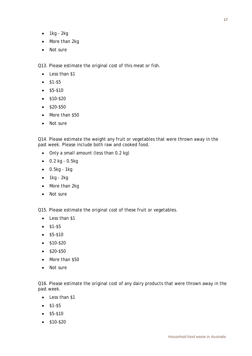- $\bullet$  1kg 2kg
- More than 2kg
- Not sure

Q13. Please estimate the original cost of this meat or fish.

- Less than \$1
- $•$  \$1-\$5
- $•$  \$5-\$10
- $\bullet$  \$10-\$20
- $\bullet$  \$20-\$50
- More than \$50
- Not sure

Q14. Please estimate the weight any fruit or vegetables that were thrown away in the past week. Please include both raw and cooked food.

- Only a small amount (less than 0.2 kg)
- $-0.2$  kg  $-0.5$ kg
- $\bullet$  0.5kg 1kg
- $\bullet$  1kg 2kg
- More than 2kg
- Not sure

Q15. Please estimate the original cost of these fruit or vegetables.

- Less than \$1
- $•$   $$1-$5$
- $•$  \$5-\$10
- \$10-\$20
- $•$   $$20-$50$
- More than \$50
- Not sure

Q16. Please estimate the original cost of any dairy products that were thrown away in the past week.

- Less than \$1
- $•$   $$1-$5$
- $•$  \$5-\$10
- $\bullet$  \$10-\$20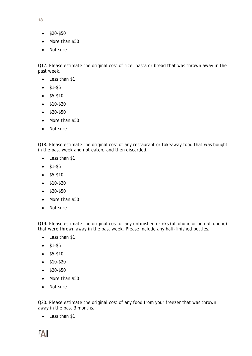- **18**
	- $\bullet$  \$20-\$50
	- More than \$50
	- Not sure

Q17. Please estimate the original cost of rice, pasta or bread that was thrown away in the past week.

- Less than \$1
- $\bullet$  \$1-\$5
- $\bullet$  \$5-\$10
- $\bullet$  \$10-\$20
- $\bullet$  \$20-\$50
- More than \$50
- Not sure

Q18. Please estimate the original cost of any restaurant or takeaway food that was bought in the past week and not eaten, and then discarded.

- Less than \$1
- \$1-\$5
- $\bullet$  \$5-\$10
- $\bullet$  \$10-\$20
- $\bullet$  \$20-\$50
- More than \$50
- Not sure

Q19. Please estimate the original cost of any unfinished drinks (alcoholic or non-alcoholic) that were thrown away in the past week. Please include any half-finished bottles.

- Less than \$1
- $•$   $$1-$5$
- $\bullet$  \$5-\$10
- \$10-\$20
- \$20-\$50
- More than \$50
- Not sure

Q20. Please estimate the original cost of any food from your freezer that was thrown away in the past 3 months.

• Less than \$1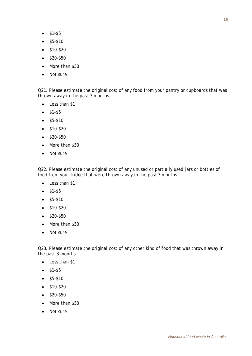- $•$  \$1-\$5
- \$5-\$10
- $\bullet$  \$10-\$20
- \$20-\$50
- More than \$50
- Not sure

Q21. Please estimate the original cost of any food from your pantry or cupboards that was thrown away in the past 3 months.

- Less than \$1
- $•$  \$1-\$5
- $•$  \$5-\$10
- $\bullet$  \$10-\$20
- $\bullet$  \$20-\$50
- More than \$50
- Not sure

Q22. Please estimate the original cost of any unused or partially used jars or bottles of food from your fridge that were thrown away in the past 3 months.

- Less than \$1
- $•$   $$1-$5$
- $•$  \$5-\$10
- $\bullet$  \$10-\$20
- $\bullet$  \$20-\$50
- More than \$50
- Not sure

Q23. Please estimate the original cost of any other kind of food that was thrown away in the past 3 months.

- Less than \$1
- \$1-\$5
- $•$  \$5-\$10
- $•$   $$10-$20$
- $\bullet$  \$20-\$50
- More than \$50
- Not sure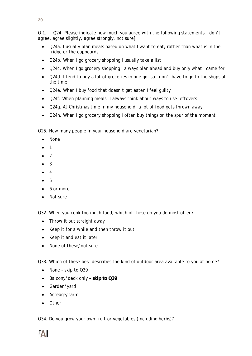Q 1. Q24. Please indicate how much you agree with the following statements. [don't agree, agree slightly, agree strongly, not sure]

- Q24a. I usually plan meals based on what I want to eat, rather than what is in the fridge or the cupboards
- Q24b. When I go grocery shopping I usually take a list
- Q24c. When I go grocery shopping I always plan ahead and buy only what I came for
- Q24d. I tend to buy a lot of groceries in one go, so I don't have to go to the shops all the time
- Q24e. When I buy food that doesn't get eaten I feel quilty
- Q24f. When planning meals, I always think about ways to use leftovers
- Q24g. At Christmas time in my household, a lot of food gets thrown away
- Q24h. When I go grocery shopping I often buy things on the spur of the moment

Q25. How many people in your household are vegetarian?

- None
- 1
- $\bullet$  2
- 3
- 4
- 5
- 6 or more
- Not sure

Q32. When you cook too much food, which of these do you do most often?

- Throw it out straight away
- Keep it for a while and then throw it out
- Keep it and eat it later
- None of these/not sure

Q33. Which of these best describes the kind of outdoor area available to you at home?

- None skip to Q39
- Balcony/deck only **skip to Q39**
- Garden/yard
- Acreage/farm
- **•** Other

Q34. Do you grow your own fruit or vegetables (including herbs)?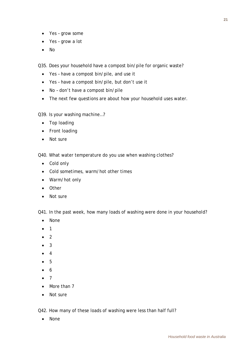- Yes grow some
- Yes grow a lot
- $\bullet$  No

Q35. Does your household have a compost bin/pile for organic waste?

- Yes have a compost bin/pile, and use it
- Yes have a compost bin/pile, but don't use it
- No don't have a compost bin/pile
- The next few questions are about how your household uses water.

Q39. Is your washing machine…?

- Top loading
- Front loading
- Not sure

Q40. What water temperature do you use when washing clothes?

- Cold only
- Cold sometimes, warm/hot other times
- Warm/hot only
- Other
- Not sure

Q41. In the past week, how many loads of washing were done in your household?

- None
- 1
- 2
- 3
- 4
- 5
- 6
- 7
- More than 7
- Not sure

Q42. How many of these loads of washing were less than half full?

• None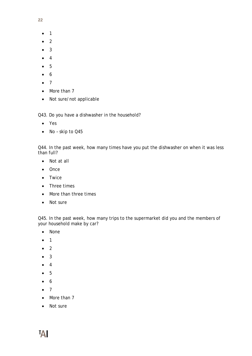- **22**
	- $\bullet$  1
	- 2
	- 3
	- 4
	- 5
	- 6
	- $\bullet$  7
	- More than 7
	- Not sure/not applicable

Q43. Do you have a dishwasher in the household?

- Yes
- No skip to Q45

Q44. In the past week, how many times have you put the dishwasher on when it was less than full?

- Not at all
- Once
- Twice
- Three times
- More than three times
- Not sure

Q45. In the past week, how many trips to the supermarket did you and the members of your household make by car?

- None
- $\bullet$  1
- $\bullet$  2
- 3
- 4
- $5$
- 6
- 7
- More than 7
- Not sure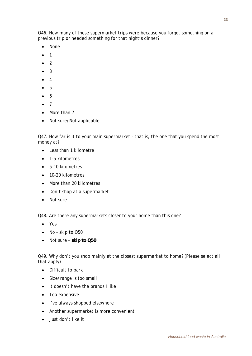Q46. How many of these supermarket trips were because you forgot something on a previous trip or needed something for that night's dinner?

- None
- $\bullet$  1
- $\bullet$  2
- 3
- 4
- 5
- 6
- 7
- More than 7
- Not sure/Not applicable

Q47. How far is it to your main supermarket - that is, the one that you spend the most money at?

- Less than 1 kilometre
- 1-5 kilometres
- 5-10 kilometres
- $\bullet$  10-20 kilometres
- More than 20 kilometres
- Don't shop at a supermarket
- Not sure

Q48. Are there any supermarkets closer to your home than this one?

- Yes
- No skip to Q50
- Not sure **skip to Q50**

Q49. Why don't you shop mainly at the closest supermarket to home? (Please select all that apply)

- Difficult to park
- Size/range is too small
- It doesn't have the brands I like
- Too expensive
- I've always shopped elsewhere
- Another supermarket is more convenient
- $\bullet$  Just don't like it